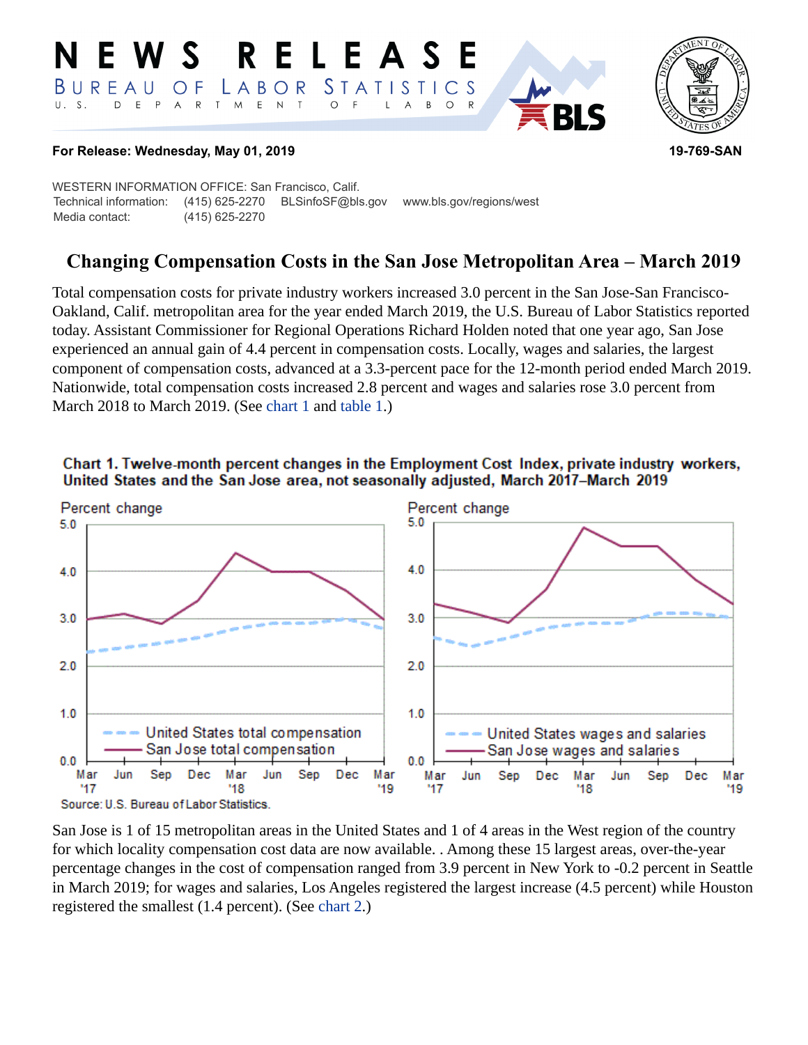#### **RELEAS S** *STATISTICS* BUREAU LABOR O F  $\top$  $M_{\odot}$  $\mathsf E$  $\mathsf{N}\xspace$  $\top$  $E$  $P$  $\overline{\mathsf{A}}$  $\mathsf{R}$  $\circ$ B  $\circ$ A



## **For Release: Wednesday, May 01, 2019 19-769-SAN**

WESTERN INFORMATION OFFICE: San Francisco, Calif. Technical information: (415) 625-2270 BLSinfoSF@bls.gov www.bls.gov/regions/west Media contact: (415) 625-2270

# **Changing Compensation Costs in the San Jose Metropolitan Area – March 2019**

Total compensation costs for private industry workers increased 3.0 percent in the San Jose-San Francisco-Oakland, Calif. metropolitan area for the year ended March 2019, the U.S. Bureau of Labor Statistics reported today. Assistant Commissioner for Regional Operations Richard Holden noted that one year ago, San Jose experienced an annual gain of 4.4 percent in compensation costs. Locally, wages and salaries, the largest component of compensation costs, advanced at a 3.3-percent pace for the 12-month period ended March 2019. Nationwide, total compensation costs increased 2.8 percent and wages and salaries rose 3.0 percent from March 2018 to March 2019. (See [chart 1](#page-0-0) and [table 1](#page-4-0).)

<span id="page-0-0"></span>



<span id="page-0-1"></span>San Jose is 1 of 15 metropolitan areas in the United States and 1 of 4 areas in the West region of the country for which locality compensation cost data are now available. . Among these 15 largest areas, over-the-year percentage changes in the cost of compensation ranged from 3.9 percent in New York to -0.2 percent in Seattle in March 2019; for wages and salaries, Los Angeles registered the largest increase (4.5 percent) while Houston registered the smallest (1.4 percent). (See [chart 2](#page-0-1).)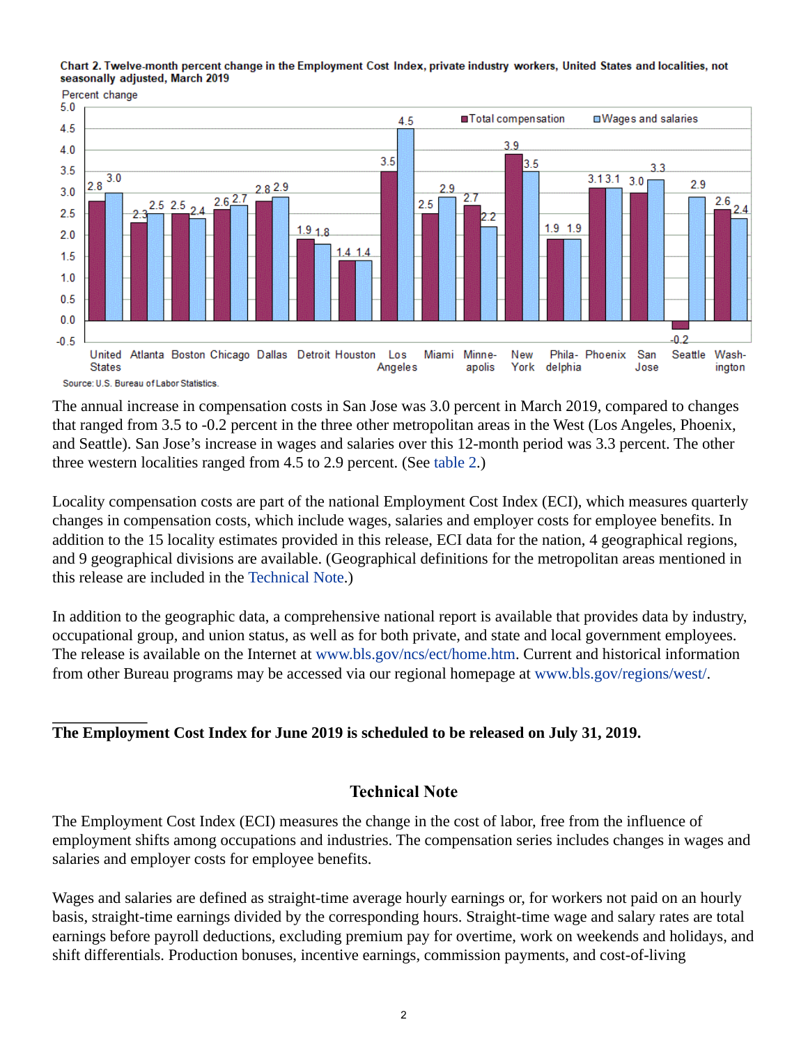





The annual increase in compensation costs in San Jose was 3.0 percent in March 2019, compared to changes that ranged from 3.5 to -0.2 percent in the three other metropolitan areas in the West (Los Angeles, Phoenix, and Seattle). San Jose's increase in wages and salaries over this 12-month period was 3.3 percent. The other three western localities ranged from 4.5 to 2.9 percent. (See [table 2](#page-5-0).)

Locality compensation costs are part of the national Employment Cost Index (ECI), which measures quarterly changes in compensation costs, which include wages, salaries and employer costs for employee benefits. In addition to the 15 locality estimates provided in this release, ECI data for the nation, 4 geographical regions, and 9 geographical divisions are available. (Geographical definitions for the metropolitan areas mentioned in this release are included in the [Technical Note.](#page-1-0))

In addition to the geographic data, a comprehensive national report is available that provides data by industry, occupational group, and union status, as well as for both private, and state and local government employees. The release is available on the Internet at [www.bls.gov/ncs/ect/home.htm.](https://www.bls.gov/ncs/ect/home.htm) Current and historical information from other Bureau programs may be accessed via our regional homepage at [www.bls.gov/regions/west/.](https://www.bls.gov/regions/west/)

## **The Employment Cost Index for June 2019 is scheduled to be released on July 31, 2019.**

## **Technical Note**

<span id="page-1-0"></span>The Employment Cost Index (ECI) measures the change in the cost of labor, free from the influence of employment shifts among occupations and industries. The compensation series includes changes in wages and salaries and employer costs for employee benefits.

Wages and salaries are defined as straight-time average hourly earnings or, for workers not paid on an hourly basis, straight-time earnings divided by the corresponding hours. Straight-time wage and salary rates are total earnings before payroll deductions, excluding premium pay for overtime, work on weekends and holidays, and shift differentials. Production bonuses, incentive earnings, commission payments, and cost-of-living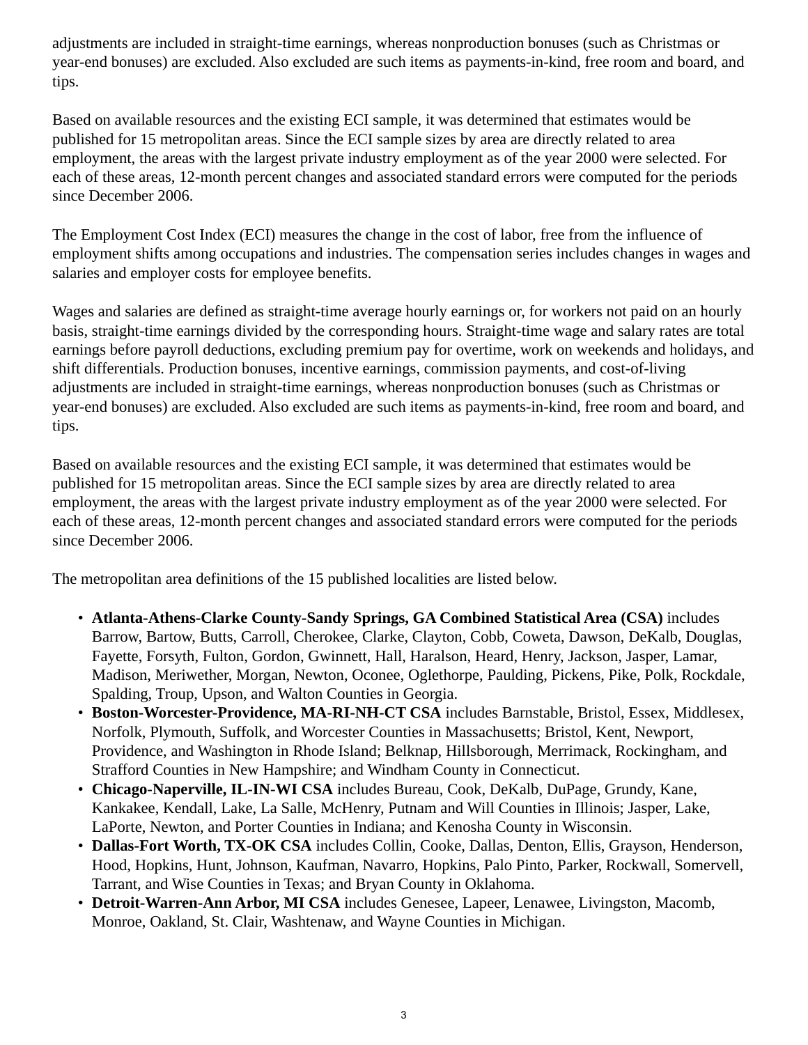adjustments are included in straight-time earnings, whereas nonproduction bonuses (such as Christmas or year-end bonuses) are excluded. Also excluded are such items as payments-in-kind, free room and board, and tips.

Based on available resources and the existing ECI sample, it was determined that estimates would be published for 15 metropolitan areas. Since the ECI sample sizes by area are directly related to area employment, the areas with the largest private industry employment as of the year 2000 were selected. For each of these areas, 12-month percent changes and associated standard errors were computed for the periods since December 2006.

The Employment Cost Index (ECI) measures the change in the cost of labor, free from the influence of employment shifts among occupations and industries. The compensation series includes changes in wages and salaries and employer costs for employee benefits.

Wages and salaries are defined as straight-time average hourly earnings or, for workers not paid on an hourly basis, straight-time earnings divided by the corresponding hours. Straight-time wage and salary rates are total earnings before payroll deductions, excluding premium pay for overtime, work on weekends and holidays, and shift differentials. Production bonuses, incentive earnings, commission payments, and cost-of-living adjustments are included in straight-time earnings, whereas nonproduction bonuses (such as Christmas or year-end bonuses) are excluded. Also excluded are such items as payments-in-kind, free room and board, and tips.

Based on available resources and the existing ECI sample, it was determined that estimates would be published for 15 metropolitan areas. Since the ECI sample sizes by area are directly related to area employment, the areas with the largest private industry employment as of the year 2000 were selected. For each of these areas, 12-month percent changes and associated standard errors were computed for the periods since December 2006.

The metropolitan area definitions of the 15 published localities are listed below.

- **Atlanta-Athens-Clarke County-Sandy Springs, GA Combined Statistical Area (CSA)** includes Barrow, Bartow, Butts, Carroll, Cherokee, Clarke, Clayton, Cobb, Coweta, Dawson, DeKalb, Douglas, Fayette, Forsyth, Fulton, Gordon, Gwinnett, Hall, Haralson, Heard, Henry, Jackson, Jasper, Lamar, Madison, Meriwether, Morgan, Newton, Oconee, Oglethorpe, Paulding, Pickens, Pike, Polk, Rockdale, Spalding, Troup, Upson, and Walton Counties in Georgia.
- **Boston-Worcester-Providence, MA-RI-NH-CT CSA** includes Barnstable, Bristol, Essex, Middlesex, Norfolk, Plymouth, Suffolk, and Worcester Counties in Massachusetts; Bristol, Kent, Newport, Providence, and Washington in Rhode Island; Belknap, Hillsborough, Merrimack, Rockingham, and Strafford Counties in New Hampshire; and Windham County in Connecticut.
- **Chicago-Naperville, IL-IN-WI CSA** includes Bureau, Cook, DeKalb, DuPage, Grundy, Kane, Kankakee, Kendall, Lake, La Salle, McHenry, Putnam and Will Counties in Illinois; Jasper, Lake, LaPorte, Newton, and Porter Counties in Indiana; and Kenosha County in Wisconsin.
- **Dallas-Fort Worth, TX-OK CSA** includes Collin, Cooke, Dallas, Denton, Ellis, Grayson, Henderson, Hood, Hopkins, Hunt, Johnson, Kaufman, Navarro, Hopkins, Palo Pinto, Parker, Rockwall, Somervell, Tarrant, and Wise Counties in Texas; and Bryan County in Oklahoma.
- **Detroit-Warren-Ann Arbor, MI CSA** includes Genesee, Lapeer, Lenawee, Livingston, Macomb, Monroe, Oakland, St. Clair, Washtenaw, and Wayne Counties in Michigan.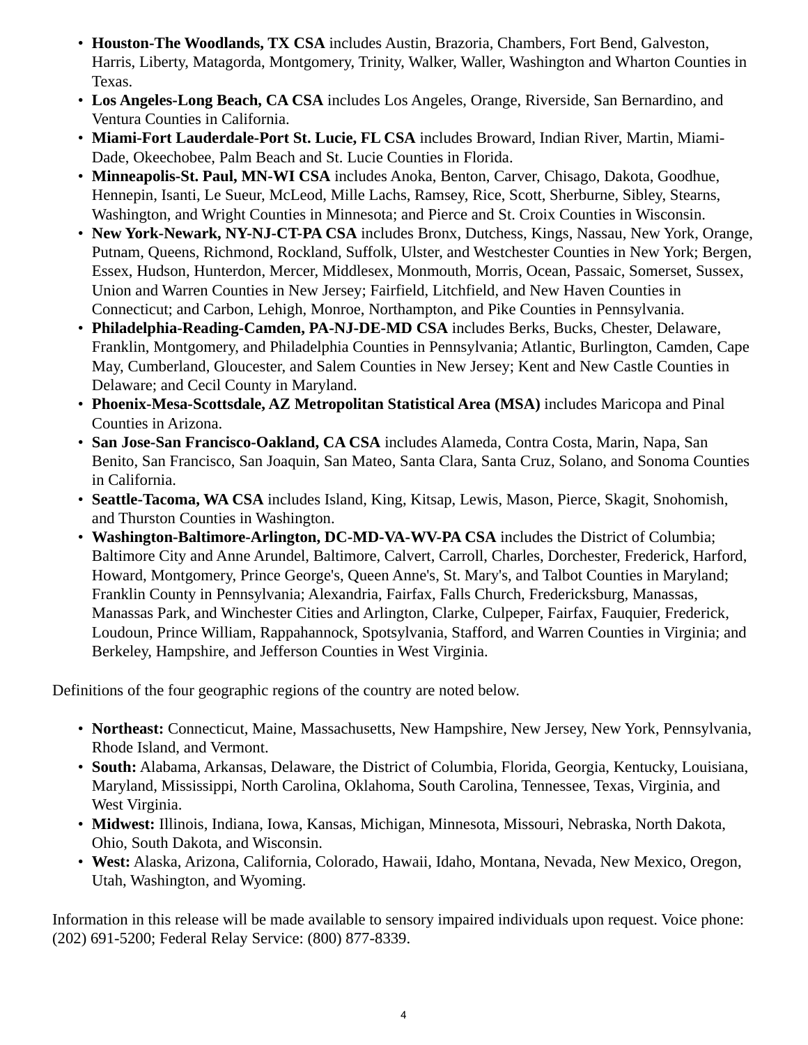- **Houston-The Woodlands, TX CSA** includes Austin, Brazoria, Chambers, Fort Bend, Galveston, Harris, Liberty, Matagorda, Montgomery, Trinity, Walker, Waller, Washington and Wharton Counties in Texas.
- **Los Angeles-Long Beach, CA CSA** includes Los Angeles, Orange, Riverside, San Bernardino, and Ventura Counties in California.
- **Miami-Fort Lauderdale-Port St. Lucie, FL CSA** includes Broward, Indian River, Martin, Miami-Dade, Okeechobee, Palm Beach and St. Lucie Counties in Florida.
- **Minneapolis-St. Paul, MN-WI CSA** includes Anoka, Benton, Carver, Chisago, Dakota, Goodhue, Hennepin, Isanti, Le Sueur, McLeod, Mille Lachs, Ramsey, Rice, Scott, Sherburne, Sibley, Stearns, Washington, and Wright Counties in Minnesota; and Pierce and St. Croix Counties in Wisconsin.
- **New York-Newark, NY-NJ-CT-PA CSA** includes Bronx, Dutchess, Kings, Nassau, New York, Orange, Putnam, Queens, Richmond, Rockland, Suffolk, Ulster, and Westchester Counties in New York; Bergen, Essex, Hudson, Hunterdon, Mercer, Middlesex, Monmouth, Morris, Ocean, Passaic, Somerset, Sussex, Union and Warren Counties in New Jersey; Fairfield, Litchfield, and New Haven Counties in Connecticut; and Carbon, Lehigh, Monroe, Northampton, and Pike Counties in Pennsylvania.
- **Philadelphia-Reading-Camden, PA-NJ-DE-MD CSA** includes Berks, Bucks, Chester, Delaware, Franklin, Montgomery, and Philadelphia Counties in Pennsylvania; Atlantic, Burlington, Camden, Cape May, Cumberland, Gloucester, and Salem Counties in New Jersey; Kent and New Castle Counties in Delaware; and Cecil County in Maryland.
- **Phoenix-Mesa-Scottsdale, AZ Metropolitan Statistical Area (MSA)** includes Maricopa and Pinal Counties in Arizona.
- **San Jose-San Francisco-Oakland, CA CSA** includes Alameda, Contra Costa, Marin, Napa, San Benito, San Francisco, San Joaquin, San Mateo, Santa Clara, Santa Cruz, Solano, and Sonoma Counties in California.
- **Seattle-Tacoma, WA CSA** includes Island, King, Kitsap, Lewis, Mason, Pierce, Skagit, Snohomish, and Thurston Counties in Washington.
- **Washington-Baltimore-Arlington, DC-MD-VA-WV-PA CSA** includes the District of Columbia; Baltimore City and Anne Arundel, Baltimore, Calvert, Carroll, Charles, Dorchester, Frederick, Harford, Howard, Montgomery, Prince George's, Queen Anne's, St. Mary's, and Talbot Counties in Maryland; Franklin County in Pennsylvania; Alexandria, Fairfax, Falls Church, Fredericksburg, Manassas, Manassas Park, and Winchester Cities and Arlington, Clarke, Culpeper, Fairfax, Fauquier, Frederick, Loudoun, Prince William, Rappahannock, Spotsylvania, Stafford, and Warren Counties in Virginia; and Berkeley, Hampshire, and Jefferson Counties in West Virginia.

Definitions of the four geographic regions of the country are noted below.

- **Northeast:** Connecticut, Maine, Massachusetts, New Hampshire, New Jersey, New York, Pennsylvania, Rhode Island, and Vermont.
- **South:** Alabama, Arkansas, Delaware, the District of Columbia, Florida, Georgia, Kentucky, Louisiana, Maryland, Mississippi, North Carolina, Oklahoma, South Carolina, Tennessee, Texas, Virginia, and West Virginia.
- **Midwest:** Illinois, Indiana, Iowa, Kansas, Michigan, Minnesota, Missouri, Nebraska, North Dakota, Ohio, South Dakota, and Wisconsin.
- **West:** Alaska, Arizona, California, Colorado, Hawaii, Idaho, Montana, Nevada, New Mexico, Oregon, Utah, Washington, and Wyoming.

Information in this release will be made available to sensory impaired individuals upon request. Voice phone: (202) 691-5200; Federal Relay Service: (800) 877-8339.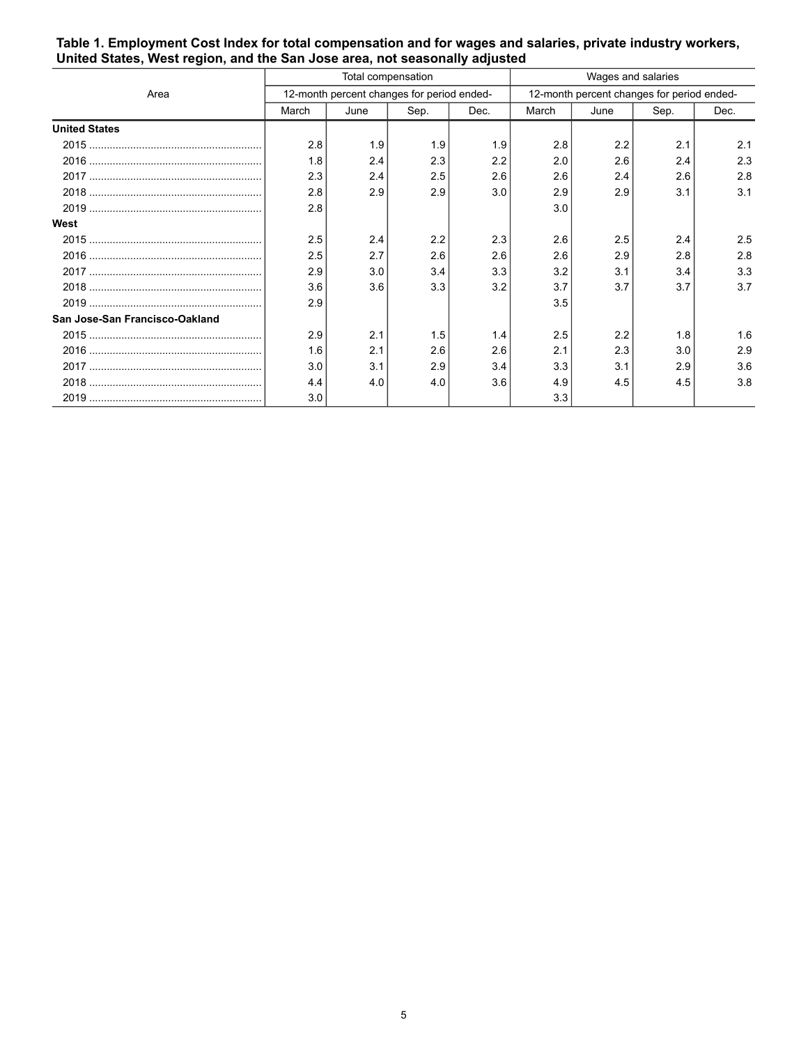|                                |                                            | Total compensation |      |      | Wages and salaries                         |      |      |      |
|--------------------------------|--------------------------------------------|--------------------|------|------|--------------------------------------------|------|------|------|
| Area                           | 12-month percent changes for period ended- |                    |      |      | 12-month percent changes for period ended- |      |      |      |
|                                | March                                      | June               | Sep. | Dec. | March                                      | June | Sep. | Dec. |
| <b>United States</b>           |                                            |                    |      |      |                                            |      |      |      |
|                                | 2.8                                        | 1.9                | 1.9  | 1.9  | 2.8                                        | 2.2  | 2.1  | 2.1  |
|                                | 1.8                                        | 2.4                | 2.3  | 2.2  | 2.0                                        | 2.6  | 2.4  | 2.3  |
|                                | 2.3                                        | 2.4                | 2.5  | 2.6  | 2.6                                        | 2.4  | 2.6  | 2.8  |
|                                | 2.8                                        | 2.9                | 2.9  | 3.0  | 2.9                                        | 2.9  | 3.1  | 3.1  |
|                                | 2.8                                        |                    |      |      | 3.0                                        |      |      |      |
| West                           |                                            |                    |      |      |                                            |      |      |      |
|                                | 2.5                                        | 2.4                | 2.2  | 2.3  | 2.6                                        | 2.5  | 2.4  | 2.5  |
|                                | 2.5                                        | 2.7                | 2.6  | 2.6  | 2.6                                        | 2.9  | 2.8  | 2.8  |
|                                | 2.9                                        | 3.0                | 3.4  | 3.3  | 3.2                                        | 3.1  | 3.4  | 3.3  |
|                                | 3.6                                        | 3.6                | 3.3  | 3.2  | 3.7                                        | 3.7  | 3.7  | 3.7  |
|                                | 2.9                                        |                    |      |      | 3.5                                        |      |      |      |
| San Jose-San Francisco-Oakland |                                            |                    |      |      |                                            |      |      |      |
|                                | 2.9                                        | 2.1                | 1.5  | 1.4  | 2.5                                        | 2.2  | 1.8  | 1.6  |
|                                | 1.6                                        | 2.1                | 2.6  | 2.6  | 2.1                                        | 2.3  | 3.0  | 2.9  |
|                                | 3.0                                        | 3.1                | 2.9  | 3.4  | 3.3                                        | 3.1  | 2.9  | 3.6  |
|                                | 4.4                                        | 4.0                | 4.0  | 3.6  | 4.9                                        | 4.5  | 4.5  | 3.8  |
|                                | 3.0                                        |                    |      |      | 3.3                                        |      |      |      |

#### <span id="page-4-0"></span>**Table 1. Employment Cost Index for total compensation and for wages and salaries, private industry workers, United States, West region, and the San Jose area, not seasonally adjusted**